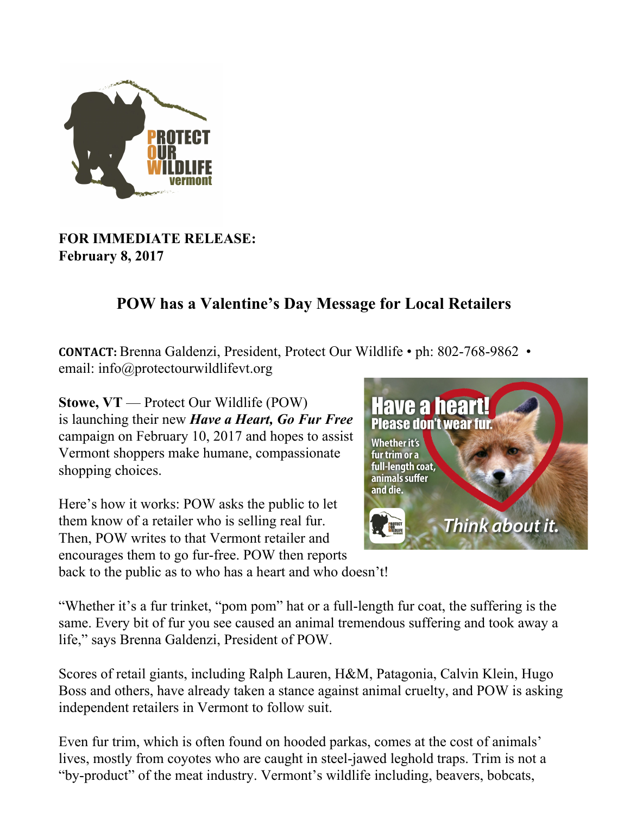

## **FOR IMMEDIATE RELEASE: February 8, 2017**

## **POW has a Valentine's Day Message for Local Retailers**

**CONTACT:** Brenna Galdenzi, President, Protect Our Wildlife • ph: 802-768-9862 • email: info@protectourwildlifevt.org

**Stowe, VT** — Protect Our Wildlife (POW) is launching their new *Have a Heart, Go Fur Free* campaign on February 10, 2017 and hopes to assist Vermont shoppers make humane, compassionate shopping choices.

Here's how it works: POW asks the public to let them know of a retailer who is selling real fur. Then, POW writes to that Vermont retailer and encourages them to go fur-free. POW then reports back to the public as to who has a heart and who doesn't!



"Whether it's a fur trinket, "pom pom" hat or a full-length fur coat, the suffering is the same. Every bit of fur you see caused an animal tremendous suffering and took away a life," says Brenna Galdenzi, President of POW.

Scores of retail giants, including Ralph Lauren, H&M, Patagonia, Calvin Klein, Hugo Boss and others, have already taken a stance against animal cruelty, and POW is asking independent retailers in Vermont to follow suit.

Even fur trim, which is often found on hooded parkas, comes at the cost of animals' lives, mostly from coyotes who are caught in steel-jawed leghold traps. Trim is not a "by-product" of the meat industry. Vermont's wildlife including, beavers, bobcats,